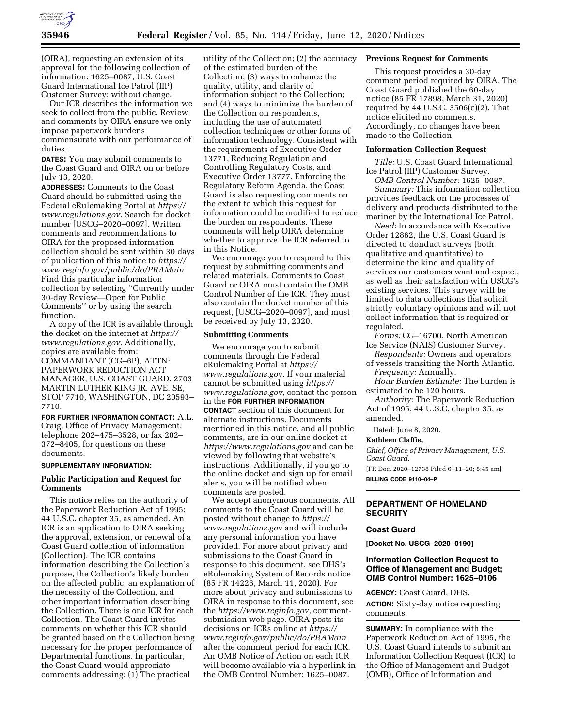

(OIRA), requesting an extension of its approval for the following collection of information: 1625–0087, U.S. Coast Guard International Ice Patrol (IIP) Customer Survey; without change.

Our ICR describes the information we seek to collect from the public. Review and comments by OIRA ensure we only impose paperwork burdens commensurate with our performance of duties.

**DATES:** You may submit comments to the Coast Guard and OIRA on or before July 13, 2020.

**ADDRESSES:** Comments to the Coast Guard should be submitted using the Federal eRulemaking Portal at *[https://](https://www.regulations.gov) [www.regulations.gov.](https://www.regulations.gov)* Search for docket number [USCG–2020–0097]. Written comments and recommendations to OIRA for the proposed information collection should be sent within 30 days of publication of this notice to *[https://](https://www.reginfo.gov/public/do/PRAMain)  [www.reginfo.gov/public/do/PRAMain.](https://www.reginfo.gov/public/do/PRAMain)*  Find this particular information collection by selecting ''Currently under 30-day Review—Open for Public Comments'' or by using the search function.

A copy of the ICR is available through the docket on the internet at *[https://](https://www.regulations.gov) [www.regulations.gov.](https://www.regulations.gov)* Additionally, copies are available from: COMMANDANT (CG–6P), ATTN: PAPERWORK REDUCTION ACT MANAGER, U.S. COAST GUARD, 2703 MARTIN LUTHER KING JR. AVE. SE, STOP 7710, WASHINGTON, DC 20593– 7710.

**FOR FURTHER INFORMATION CONTACT:** A.L. Craig, Office of Privacy Management, telephone 202–475–3528, or fax 202– 372–8405, for questions on these documents.

#### **SUPPLEMENTARY INFORMATION:**

## **Public Participation and Request for Comments**

This notice relies on the authority of the Paperwork Reduction Act of 1995; 44 U.S.C. chapter 35, as amended. An ICR is an application to OIRA seeking the approval, extension, or renewal of a Coast Guard collection of information (Collection). The ICR contains information describing the Collection's purpose, the Collection's likely burden on the affected public, an explanation of the necessity of the Collection, and other important information describing the Collection. There is one ICR for each Collection. The Coast Guard invites comments on whether this ICR should be granted based on the Collection being necessary for the proper performance of Departmental functions. In particular, the Coast Guard would appreciate comments addressing: (1) The practical

utility of the Collection; (2) the accuracy of the estimated burden of the Collection; (3) ways to enhance the quality, utility, and clarity of information subject to the Collection; and (4) ways to minimize the burden of the Collection on respondents, including the use of automated collection techniques or other forms of information technology. Consistent with the requirements of Executive Order 13771, Reducing Regulation and Controlling Regulatory Costs, and Executive Order 13777, Enforcing the Regulatory Reform Agenda, the Coast Guard is also requesting comments on the extent to which this request for information could be modified to reduce the burden on respondents. These comments will help OIRA determine whether to approve the ICR referred to in this Notice.

We encourage you to respond to this request by submitting comments and related materials. Comments to Coast Guard or OIRA must contain the OMB Control Number of the ICR. They must also contain the docket number of this request, [USCG–2020–0097], and must be received by July 13, 2020.

#### **Submitting Comments**

We encourage you to submit comments through the Federal eRulemaking Portal at *[https://](https://www.regulations.gov) [www.regulations.gov.](https://www.regulations.gov)* If your material cannot be submitted using *[https://](https://www.regulations.gov) [www.regulations.gov,](https://www.regulations.gov)* contact the person in the **FOR FURTHER INFORMATION CONTACT** section of this document for alternate instructions. Documents mentioned in this notice, and all public comments, are in our online docket at *<https://www.regulations.gov>* and can be viewed by following that website's instructions. Additionally, if you go to the online docket and sign up for email alerts, you will be notified when comments are posted.

We accept anonymous comments. All comments to the Coast Guard will be posted without change to *[https://](https://www.regulations.gov) [www.regulations.gov](https://www.regulations.gov)* and will include any personal information you have provided. For more about privacy and submissions to the Coast Guard in response to this document, see DHS's eRulemaking System of Records notice (85 FR 14226, March 11, 2020). For more about privacy and submissions to OIRA in response to this document, see the *[https://www.reginfo.gov,](https://www.reginfo.gov)* commentsubmission web page. OIRA posts its decisions on ICRs online at *[https://](https://www.reginfo.gov/public/do/PRAMain) [www.reginfo.gov/public/do/PRAMain](https://www.reginfo.gov/public/do/PRAMain)*  after the comment period for each ICR. An OMB Notice of Action on each ICR will become available via a hyperlink in the OMB Control Number: 1625–0087.

# **Previous Request for Comments**

This request provides a 30-day comment period required by OIRA. The Coast Guard published the 60-day notice (85 FR 17898, March 31, 2020) required by 44 U.S.C. 3506(c)(2). That notice elicited no comments. Accordingly, no changes have been made to the Collection.

# **Information Collection Request**

*Title:* U.S. Coast Guard International Ice Patrol (IIP) Customer Survey.

*OMB Control Number:* 1625–0087. *Summary:* This information collection provides feedback on the processes of delivery and products distributed to the mariner by the International Ice Patrol.

*Need:* In accordance with Executive Order 12862, the U.S. Coast Guard is directed to donduct surveys (both qualitative and quantitative) to determine the kind and quality of services our customers want and expect, as well as their satisfaction with USCG's existing services. This survey will be limited to data collections that solicit strictly voluntary opinions and will not collect information that is required or regulated.

*Forms:* CG–16700, North American Ice Service (NAIS) Customer Survey.

*Respondents:* Owners and operators of vessels transiting the North Atlantic.

*Frequency:* Annually.

*Hour Burden Estimate:* The burden is estimated to be 120 hours.

*Authority:* The Paperwork Reduction Act of 1995; 44 U.S.C. chapter 35, as amended.

Dated: June 8, 2020.

#### **Kathleen Claffie,**

*Chief, Office of Privacy Management, U.S. Coast Guard.* 

[FR Doc. 2020–12738 Filed 6–11–20; 8:45 am] **BILLING CODE 9110–04–P** 

### **DEPARTMENT OF HOMELAND SECURITY**

## **Coast Guard**

**[Docket No. USCG–2020–0190]** 

# **Information Collection Request to Office of Management and Budget; OMB Control Number: 1625–0106**

**AGENCY:** Coast Guard, DHS.

**ACTION:** Sixty-day notice requesting comments.

**SUMMARY:** In compliance with the Paperwork Reduction Act of 1995, the U.S. Coast Guard intends to submit an Information Collection Request (ICR) to the Office of Management and Budget (OMB), Office of Information and